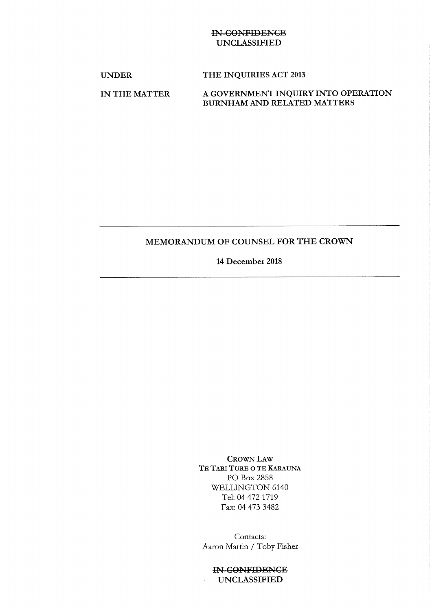## IN CONFIDENCE UNCLASSIFIED

## UNDER THE INQUIRIES ACT 2013

# IN THE MATTER A GOVERNMENT INQUIRY INTO OPERATION BURNHAM AND RELATED MATTERS

# MEMORANDUM OF COUNSEL FOR THE CROWN

### 14 December 2018

CROWN LAW TE TARI TURE O TE KARAUNA PO Box 2858 WELLINGTON 6140 Tel: 04 472 1719 Fax: 04 473 3482

Contacts: Aaron Martin / Toby Fisher

IN CONFIDENCE UNCLASSIFIED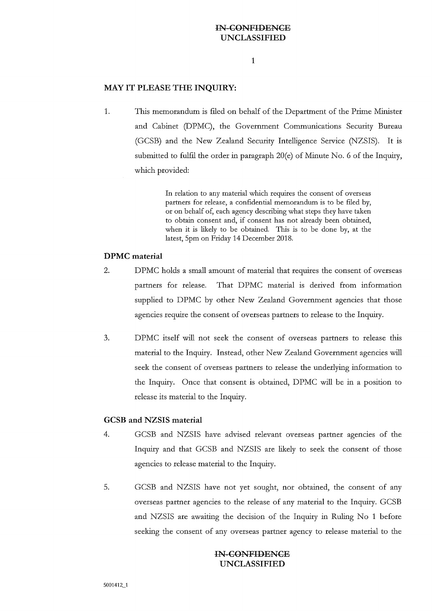## **INCONFIDENCE UNCLASSIFIED**

#### **MAY IT PLEASE THE INQUIRY:**

1. This memorandum is filed on behalf of the Department of the Prime Minister and Cabinet (DPMC), the Government Communications Security Bureau (GCSB) and the New Zealand Security Intelligence Service (NZSIS). It is submitted to fulfil the order in paragraph 20(e) of Minute No. 6 of the Inquiry, which provided:

> In relation to any material which requires the consent of overseas partners for release, a confidential memorandum is to be filed by, or on behalf of, each agency describing what steps they have taken to obtain consent and, if consent has not already been obtained, when it is likely to be obtained. This is to be done by, at the latest, 5pm on Friday 14 December 2018.

#### **DPMC material**

- 2. DPMC holds a small amount of material that requires the consent of overseas partners for release. That DPMC material is derived from information supplied to DPMC by other New Zealand Government agencies that those agencies require the consent of overseas partners to release to the Inquiry.
- 3. DPMC itself will not seek the consent of overseas partners to release this material to the Inquiry. Instead, other New Zealand Government agencies will seek the consent of overseas partners to release the underlying information to the Inquiry. Once that consent is obtained, DPMC will be in a position to release its material to the Inquiry.

#### **GCSB and NZSIS material**

- 4. GCSB and NZSIS have advised relevant overseas partner agencies of the Inquiry and that GCSB and NZSIS are likely to seek the consent of those agencies to release material to the Inquiry.
- 5. GCSB and NZSIS have not yet sought, nor obtained, the consent of any overseas partner agencies to the release of any material to the Inquiry. GCSB and NZSIS are awaiting the decision of the Inquiry in Ruling No 1 before seeking the consent of any overseas partner agency to release material to the

#### **IN CONFIDENCE UNCLASSIFIED**